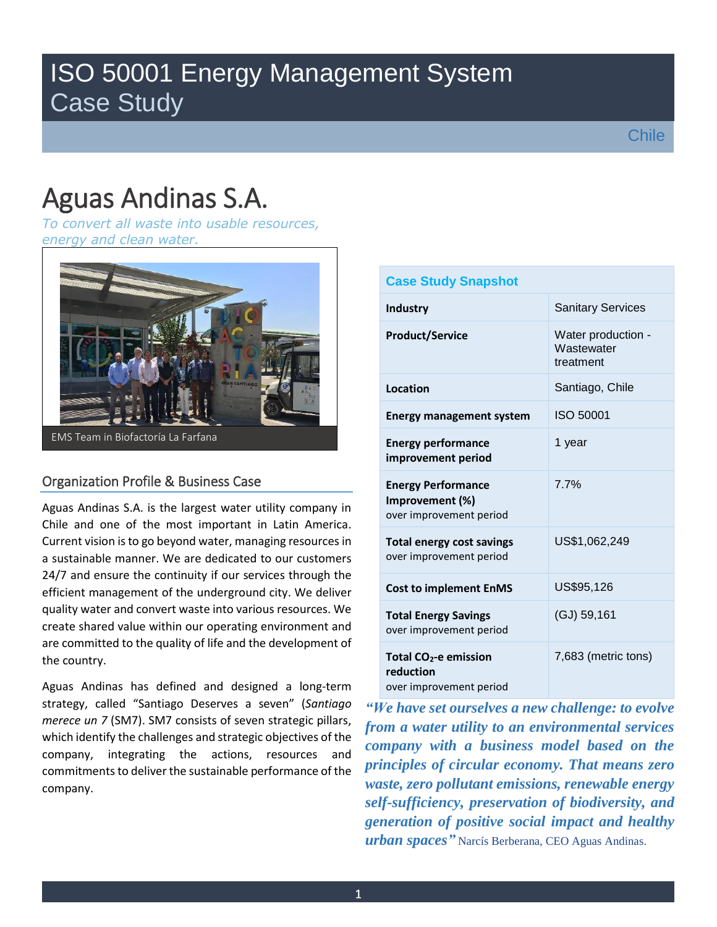## ISO 50001 Energy Management System Case Study

# Aguas Andinas S.A.

*To convert all waste into usable resources, energy and clean water.*



#### Organization Profile & Business Case

Aguas Andinas S.A. is the largest water utility company in Chile and one of the most important in Latin America. Current vision is to go beyond water, managing resources in a sustainable manner. We are dedicated to our customers 24/7 and ensure the continuity if our services through the efficient management of the underground city. We deliver quality water and convert waste into various resources. We create shared value within our operating environment and are committed to the quality of life and the development of the country.

Aguas Andinas has defined and designed a long-term strategy, called "Santiago Deserves a seven" (*Santiago merece un 7* (SM7). SM7 consists of seven strategic pillars, which identify the challenges and strategic objectives of the company, integrating the actions, resources and commitments to deliver the sustainable performance of the company.

| <b>Case Study Snapshot</b>                                                |                                               |  |  |  |
|---------------------------------------------------------------------------|-----------------------------------------------|--|--|--|
| Industry                                                                  | <b>Sanitary Services</b>                      |  |  |  |
| <b>Product/Service</b>                                                    | Water production -<br>Wastewater<br>treatment |  |  |  |
| Location                                                                  | Santiago, Chile                               |  |  |  |
| <b>Energy management system</b>                                           | ISO 50001                                     |  |  |  |
| <b>Energy performance</b><br>improvement period                           | 1 year                                        |  |  |  |
| <b>Energy Performance</b><br>Improvement (%)<br>over improvement period   | 7.7%                                          |  |  |  |
| <b>Total energy cost savings</b><br>over improvement period               | US\$1,062,249                                 |  |  |  |
| <b>Cost to implement EnMS</b>                                             | US\$95,126                                    |  |  |  |
| <b>Total Energy Savings</b><br>over improvement period                    | (GJ) 59,161                                   |  |  |  |
| Total CO <sub>2</sub> -e emission<br>reduction<br>over improvement period | 7,683 (metric tons)                           |  |  |  |

*"We have set ourselves a new challenge: to evolve from a water utility to an environmental services company with a business model based on the principles of circular economy. That means zero waste, zero pollutant emissions, renewable energy self-sufficiency, preservation of biodiversity, and generation of positive social impact and healthy urban spaces"* Narcís Berberana, CEO Aguas Andinas.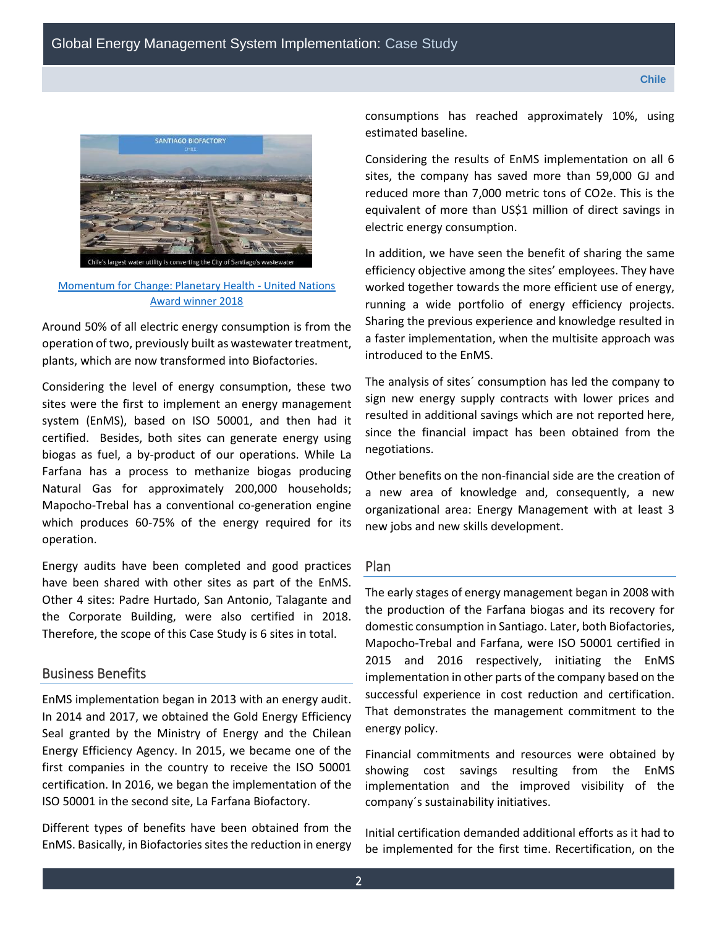

[Momentum for Change: Planetary Health -](https://unfccc.int/climate-action/momentum-for-change/planetary-health/santiago-biofactory-chile) United Nations [Award winner 2018](https://unfccc.int/climate-action/momentum-for-change/planetary-health/santiago-biofactory-chile)

Around 50% of all electric energy consumption is from the operation of two, previously built as wastewater treatment, plants, which are now transformed into Biofactories.

Considering the level of energy consumption, these two sites were the first to implement an energy management system (EnMS), based on ISO 50001, and then had it certified. Besides, both sites can generate energy using biogas as fuel, a by-product of our operations. While La Farfana has a process to methanize biogas producing Natural Gas for approximately 200,000 households; Mapocho-Trebal has a conventional co-generation engine which produces 60-75% of the energy required for its operation.

Energy audits have been completed and good practices have been shared with other sites as part of the EnMS. Other 4 sites: Padre Hurtado, San Antonio, Talagante and the Corporate Building, were also certified in 2018. Therefore, the scope of this Case Study is 6 sites in total.

#### Business Benefits

EnMS implementation began in 2013 with an energy audit. In 2014 and 2017, we obtained the Gold Energy Efficiency Seal granted by the Ministry of Energy and the Chilean Energy Efficiency Agency. In 2015, we became one of the first companies in the country to receive the ISO 50001 certification. In 2016, we began the implementation of the ISO 50001 in the second site, La Farfana Biofactory.

Different types of benefits have been obtained from the EnMS. Basically, in Biofactories sites the reduction in energy consumptions has reached approximately 10%, using estimated baseline.

Considering the results of EnMS implementation on all 6 sites, the company has saved more than 59,000 GJ and reduced more than 7,000 metric tons of CO2e. This is the equivalent of more than US\$1 million of direct savings in electric energy consumption.

In addition, we have seen the benefit of sharing the same efficiency objective among the sites' employees. They have worked together towards the more efficient use of energy, running a wide portfolio of energy efficiency projects. Sharing the previous experience and knowledge resulted in a faster implementation, when the multisite approach was introduced to the EnMS.

The analysis of sites´ consumption has led the company to sign new energy supply contracts with lower prices and resulted in additional savings which are not reported here, since the financial impact has been obtained from the negotiations.

Other benefits on the non-financial side are the creation of a new area of knowledge and, consequently, a new organizational area: Energy Management with at least 3 new jobs and new skills development.

#### Plan

The early stages of energy management began in 2008 with the production of the Farfana biogas and its recovery for domestic consumption in Santiago. Later, both Biofactories, Mapocho-Trebal and Farfana, were ISO 50001 certified in 2015 and 2016 respectively, initiating the EnMS implementation in other parts of the company based on the successful experience in cost reduction and certification. That demonstrates the management commitment to the energy policy.

Financial commitments and resources were obtained by showing cost savings resulting from the EnMS implementation and the improved visibility of the company´s sustainability initiatives.

Initial certification demanded additional efforts as it had to be implemented for the first time. Recertification, on the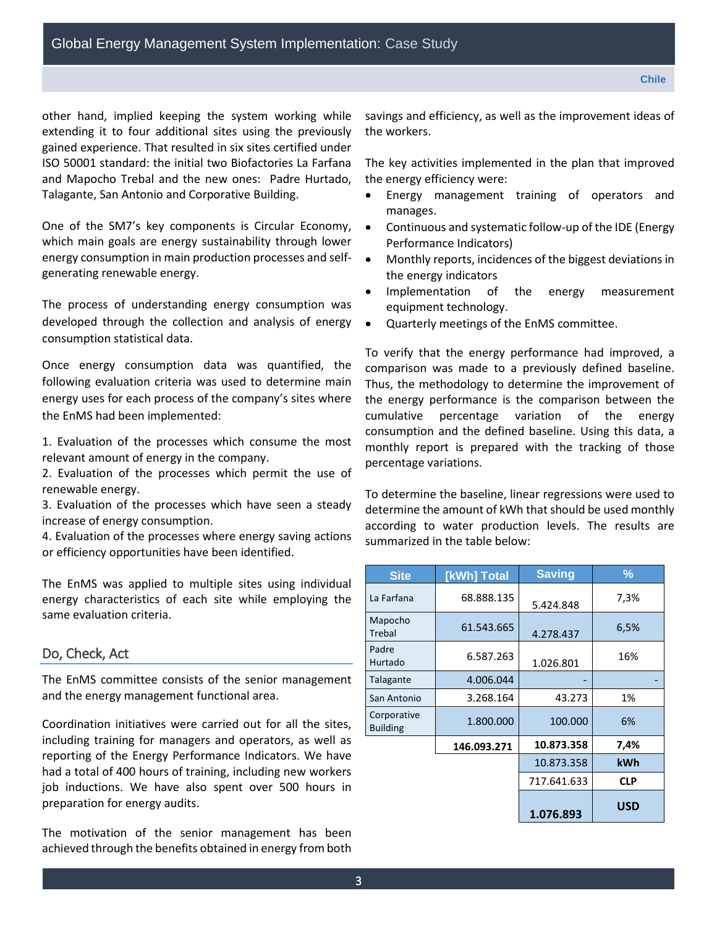other hand, implied keeping the system working while extending it to four additional sites using the previously gained experience. That resulted in six sites certified under ISO 50001 standard: the initial two Biofactories La Farfana and Mapocho Trebal and the new ones: Padre Hurtado, Talagante, San Antonio and Corporative Building.

One of the SM7's key components is Circular Economy, which main goals are energy sustainability through lower energy consumption in main production processes and selfgenerating renewable energy.

The process of understanding energy consumption was developed through the collection and analysis of energy consumption statistical data.

Once energy consumption data was quantified, the following evaluation criteria was used to determine main energy uses for each process of the company's sites where the EnMS had been implemented:

1. Evaluation of the processes which consume the most relevant amount of energy in the company.

2. Evaluation of the processes which permit the use of renewable energy.

3. Evaluation of the processes which have seen a steady increase of energy consumption.

4. Evaluation of the processes where energy saving actions or efficiency opportunities have been identified.

The EnMS was applied to multiple sites using individual energy characteristics of each site while employing the same evaluation criteria.

#### Do, Check, Act

The EnMS committee consists of the senior management and the energy management functional area.

Coordination initiatives were carried out for all the sites, including training for managers and operators, as well as reporting of the Energy Performance Indicators. We have had a total of 400 hours of training, including new workers job inductions. We have also spent over 500 hours in preparation for energy audits.

The motivation of the senior management has been achieved through the benefits obtained in energy from both savings and efficiency, as well as the improvement ideas of the workers.

The key activities implemented in the plan that improved the energy efficiency were:

- Energy management training of operators and manages.
- Continuous and systematic follow-up of the IDE (Energy Performance Indicators)
- Monthly reports, incidences of the biggest deviations in the energy indicators
- Implementation of the energy measurement equipment technology.
- Quarterly meetings of the EnMS committee.

To verify that the energy performance had improved, a comparison was made to a previously defined baseline. Thus, the methodology to determine the improvement of the energy performance is the comparison between the cumulative percentage variation of the energy consumption and the defined baseline. Using this data, a monthly report is prepared with the tracking of those percentage variations.

To determine the baseline, linear regressions were used to determine the amount of kWh that should be used monthly according to water production levels. The results are summarized in the table below:

| <b>Site</b>                    | [kWh] Total | <b>Saving</b> | ℅          |
|--------------------------------|-------------|---------------|------------|
| La Farfana                     | 68.888.135  | 5.424.848     | 7,3%       |
| Mapocho<br>Trebal              | 61.543.665  | 4.278.437     | 6,5%       |
| Padre<br>Hurtado               | 6.587.263   | 1.026.801     | 16%        |
| Talagante                      | 4.006.044   |               |            |
| San Antonio                    | 3.268.164   | 43.273        | 1%         |
| Corporative<br><b>Building</b> | 1.800.000   | 100.000       | 6%         |
|                                | 146.093.271 | 10.873.358    | 7,4%       |
|                                |             | 10.873.358    | kWh        |
|                                |             | 717.641.633   | <b>CLP</b> |
|                                |             | 1.076.893     | <b>USD</b> |